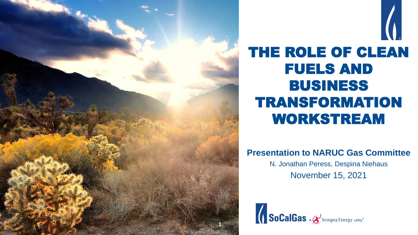



# THE ROLE OF CLEAN FUELS AND BUSINESS TRANSFORMATION WORKSTREAM

### **Presentation to NARUC Gas Committee**

N. Jonathan Peress, Despina Niehaus November 15, 2021

SoCalGas A Sempra Energy utility®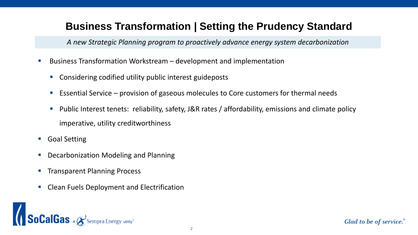### **Business Transformation | Setting the Prudency Standard**

*A new Strategic Planning program to proactively advance energy system decarbonization*

- Business Transformation Workstream development and implementation
	- Considering codified utility public interest guideposts
	- Essential Service provision of gaseous molecules to Core customers for thermal needs
	- Public Interest tenets: reliability, safety, J&R rates / affordability, emissions and climate policy imperative, utility creditworthiness
- **Goal Setting**
- **Decarbonization Modeling and Planning**
- **Transparent Planning Process**
- Clean Fuels Deployment and Electrification

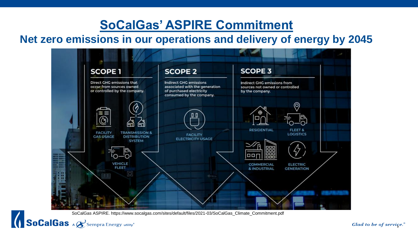# **SoCalGas' ASPIRE Commitment**

### **Net zero emissions in our operations and delivery of energy by 2045**



SoCalGas ASPIRE. https://www.socalgas.com/sites/default/files/2021-03/SoCalGas\_Climate\_Commitment.pdf

SoCalGas A Sempra Energy utility®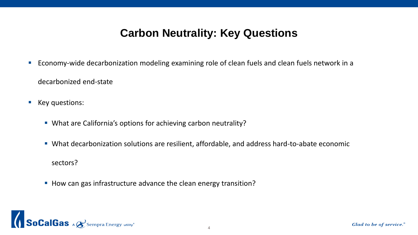## **Carbon Neutrality: Key Questions**

- Economy-wide decarbonization modeling examining role of clean fuels and clean fuels network in a decarbonized end-state
- Key questions:
	- What are California's options for achieving carbon neutrality?
	- What decarbonization solutions are resilient, affordable, and address hard-to-abate economic

sectors?

■ How can gas infrastructure advance the clean energy transition?

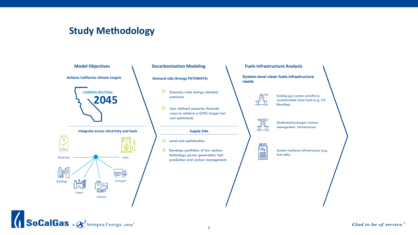### **Study Methodology**

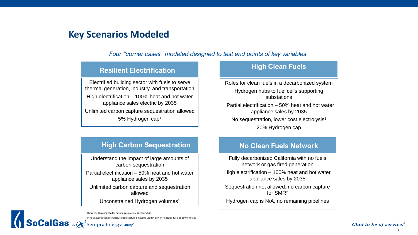### **Key Scenarios Modeled**

*Four "corner cases" modeled designed to test end points of key variables*

#### **Resilien**t **Electrification**

Electrified building sector with fuels to serve thermal generation, industry, and transportation High electrification – 100% heat and hot water appliance sales electric by 2035

Unlimited carbon capture sequestration allowed 5% Hydrogen cap<sup>1</sup>

### **High Carbon Sequestration <b>No Clean Fuels Network**

Understand the impact of large amounts of carbon sequestration

Partial electrification – 50% heat and hot water appliance sales by 2035

Unlimited carbon capture and sequestration allowed

Unconstrained Hydrogen volumes<sup>1</sup>

<sup>1</sup> Hydrogen blending cap for natural gas pipeline is volumetric

2 In no sequestration scenarios, carbon captured must be used in power-to-liquids fuels or power-to-gas

#### **High Clean Fuels**

Roles for clean fuels in a decarbonized system Hydrogen hubs to fuel cells supporting substations Partial electrification – 50% heat and hot water appliance sales by 2035 No sequestration, lower cost electrolysis<sup>1</sup> 20% Hydrogen cap

Fully decarbonized California with no fuels network or gas fired generation High electrification – 100% heat and hot water appliance sales by 2035

Sequestration not allowed, no carbon capture for SMR<sup>2</sup>

Hydrogen cap is N/A, no remaining pipelines

6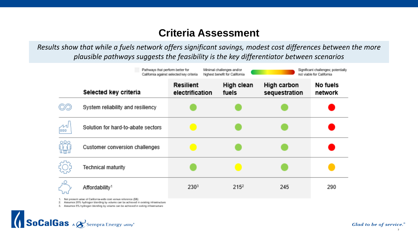### **Criteria Assessment**

*Results show that while a fuels network offers significant savings, modest cost differences between the more plausible pathways suggests the feasibility is the key differentiator between scenarios*

|            |                                                                                                                                     | Pathways that perform better for<br>Minimal challenges and/or<br>California against selected key criteria<br>highest benefit for California |                     | Significant challenges; potentially<br>not viable for California |                     |  |
|------------|-------------------------------------------------------------------------------------------------------------------------------------|---------------------------------------------------------------------------------------------------------------------------------------------|---------------------|------------------------------------------------------------------|---------------------|--|
|            | Selected key criteria                                                                                                               | Resilient<br>electrification                                                                                                                | High clean<br>fuels | High carbon<br>sequestration                                     | No fuels<br>network |  |
|            | System reliability and resiliency                                                                                                   |                                                                                                                                             |                     |                                                                  |                     |  |
| <b>QDD</b> | Solution for hard-to-abate sectors                                                                                                  |                                                                                                                                             |                     |                                                                  |                     |  |
| 0QQ        | Customer conversion challenges                                                                                                      |                                                                                                                                             |                     |                                                                  |                     |  |
|            | <b>Technical maturity</b>                                                                                                           |                                                                                                                                             |                     |                                                                  |                     |  |
|            | Affordability <sup>1</sup><br>Mineral component continues and World Constitution and the constitution of the Constitution of ARTIST | 2303                                                                                                                                        | 215 <sup>2</sup>    | 245                                                              | 290                 |  |

Net present value of California-wide cost versus reference (\$B)

2. Assumes 20% hydrogen blending by volume can be achieved in existing infrastructure

3. Assumes 5% hydrogen blending by volume can be achieved in exiting infrastructure

7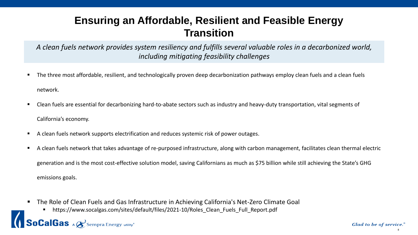### **Ensuring an Affordable, Resilient and Feasible Energy Transition**

*A clean fuels network provides system resiliency and fulfills several valuable roles in a decarbonized world, including mitigating feasibility challenges*

- The three most affordable, resilient, and technologically proven deep decarbonization pathways employ clean fuels and a clean fuels network.
- Clean fuels are essential for decarbonizing hard-to-abate sectors such as industry and heavy-duty transportation, vital segments of California's economy.
- A clean fuels network supports electrification and reduces systemic risk of power outages.
- A clean fuels network that takes advantage of re-purposed infrastructure, along with carbon management, facilitates clean thermal electric generation and is the most cost-effective solution model, saving Californians as much as \$75 billion while still achieving the State's GHG emissions goals.
- The Role of Clean Fuels and Gas Infrastructure in Achieving California's Net-Zero Climate Goal
	- https://www.socalgas.com/sites/default/files/2021-10/Roles\_Clean\_Fuels\_Full\_Report.pdf

### $\overline{\text{0CalGas}}$   $\mathcal{A}$  Sempra Energy utility®

8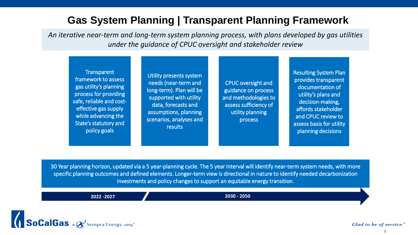### **Gas System Planning | Transparent Planning Framework**

*An iterative near-term and long-term system planning process, with plans developed by gas utilities under the guidance of CPUC oversight and stakeholder review*

**Transparent** framework to assess gas utility's planning process for providing safe, reliable and costeffective gas supply while advancing the State's statutory and policy goals

Utility presents system needs (near-term and long-term). Plan will be supported with utility data, forecasts and assumptions, planning scenarios, analyses and results

CPUC oversight and guidance on process and methodologies to assess sufficiency of utility planning process

Resulting System Plan provides transparent documentation of utility's plans and decision-making, affords stakeholder and CPUC review to assess basis for utility planning decisions

30 Year planning horizon, updated via a 5 year-planning cycle. The 5 year interval will identify near-term system needs, with more specific planning outcomes and defined elements. Longer-term view is directional in nature to identify needed decarbonization investments and policy changes to support an equitable energy transition.

**2022 -2027 2030 - 2050**

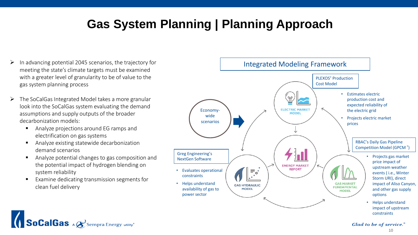# **Gas System Planning | Planning Approach**

- ➢ In advancing potential 2045 scenarios, the trajectory for meeting the state's climate targets must be examined with a greater level of granularity to be of value to the gas system planning process
- $\triangleright$  The SoCalGas Integrated Model takes a more granular look into the SoCalGas system evaluating the demand assumptions and supply outputs of the broader decarbonization models:
	- Analyze projections around EG ramps and electrification on gas systems
	- Analyze existing statewide decarbonization demand scenarios
	- Analyze potential changes to gas composition and the potential impact of hydrogen blending on system reliability
	- Examine dedicating transmission segments for clean fuel delivery

SoCalGas A Sempra Energy utility®

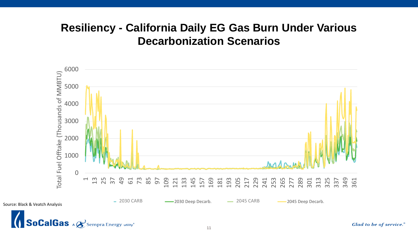## **Resiliency - California Daily EG Gas Burn Under Various Decarbonization Scenarios**



Source: Black & Veatch Analysis

**SoCalGas**  $\land$  Sempra Energy utility®

Glad to be of service.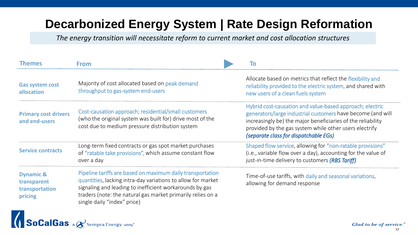# **Decarbonized Energy System | Rate Design Reformation**

*The energy transition will necessitate reform to current market and cost allocation structures*

| <b>Themes</b>                                                    | <b>From</b>                                                                                                                                                                                                                                                                         | To                                                                                                                                                                                                                                                                                        |
|------------------------------------------------------------------|-------------------------------------------------------------------------------------------------------------------------------------------------------------------------------------------------------------------------------------------------------------------------------------|-------------------------------------------------------------------------------------------------------------------------------------------------------------------------------------------------------------------------------------------------------------------------------------------|
| <b>Gas system cost</b><br>allocation                             | Majority of cost allocated based on peak demand<br>throughput to gas-system end-users                                                                                                                                                                                               | Allocate based on metrics that reflect the flexibility and<br>reliability provided to the electric system, and shared with<br>new users of a clean fuels system                                                                                                                           |
| <b>Primary cost drivers</b><br>and end-users                     | Cost-causation approach; residential/small customers<br>(who the original system was built for) drive most of the<br>cost due to medium pressure distribution system                                                                                                                | Hybrid cost-causation and value-based approach; electric<br>generators/large industrial customers have become (and will<br>increasingly be) the major beneficiaries of the reliability<br>provided by the gas system while other users electrify<br>(separate class for dispatchable EGs) |
| <b>Service contracts</b>                                         | Long-term fixed contracts or gas spot market purchases<br>of "ratable take provisions", which assume constant flow<br>over a day                                                                                                                                                    | Shaped flow service, allowing for "non-ratable provisions"<br>(i.e., variable flow over a day), accounting for the value of<br>just-in-time delivery to customers (RBS Tariff)                                                                                                            |
| <b>Dynamic &amp;</b><br>transparent<br>transportation<br>pricing | Pipeline tariffs are based on maximum daily transportation<br>quantities, lacking intra-day variations to allow for market<br>signaling and leading to inefficient workarounds by gas<br>traders (note: the natural gas market primarily relies on a<br>single daily "index" price) | Time-of-use tariffs, with daily and seasonal variations,<br>allowing for demand response                                                                                                                                                                                                  |